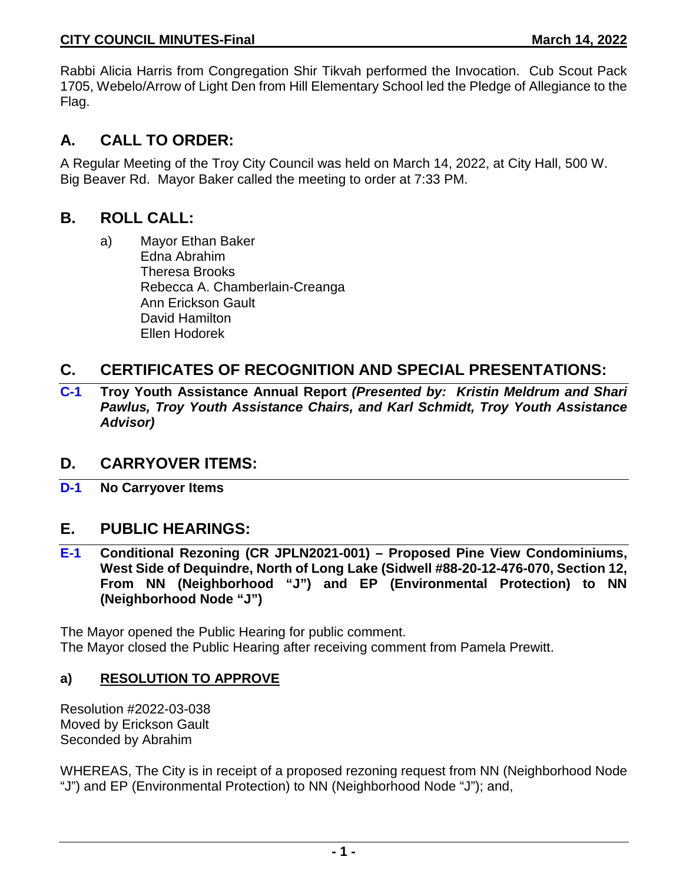Rabbi Alicia Harris from Congregation Shir Tikvah performed the Invocation. Cub Scout Pack 1705, Webelo/Arrow of Light Den from Hill Elementary School led the Pledge of Allegiance to the Flag.

# **A. CALL TO ORDER:**

A Regular Meeting of the Troy City Council was held on March 14, 2022, at City Hall, 500 W. Big Beaver Rd. Mayor Baker called the meeting to order at 7:33 PM.

## **B. ROLL CALL:**

a) Mayor Ethan Baker Edna Abrahim Theresa Brooks Rebecca A. Chamberlain-Creanga Ann Erickson Gault David Hamilton Ellen Hodorek

# **C. CERTIFICATES OF RECOGNITION AND SPECIAL PRESENTATIONS:**

**C-1 Troy Youth Assistance Annual Report** *(Presented by: Kristin Meldrum and Shari Pawlus, Troy Youth Assistance Chairs, and Karl Schmidt, Troy Youth Assistance Advisor)*

## **D. CARRYOVER ITEMS:**

**D-1 No Carryover Items**

## **E. PUBLIC HEARINGS:**

**E-1 Conditional Rezoning (CR JPLN2021-001) – Proposed Pine View Condominiums, West Side of Dequindre, North of Long Lake (Sidwell #88-20-12-476-070, Section 12, From NN (Neighborhood "J") and EP (Environmental Protection) to NN (Neighborhood Node "J")**

The Mayor opened the Public Hearing for public comment. The Mayor closed the Public Hearing after receiving comment from Pamela Prewitt.

## **a) RESOLUTION TO APPROVE**

Resolution #2022-03-038 Moved by Erickson Gault Seconded by Abrahim

WHEREAS, The City is in receipt of a proposed rezoning request from NN (Neighborhood Node "J") and EP (Environmental Protection) to NN (Neighborhood Node "J"); and,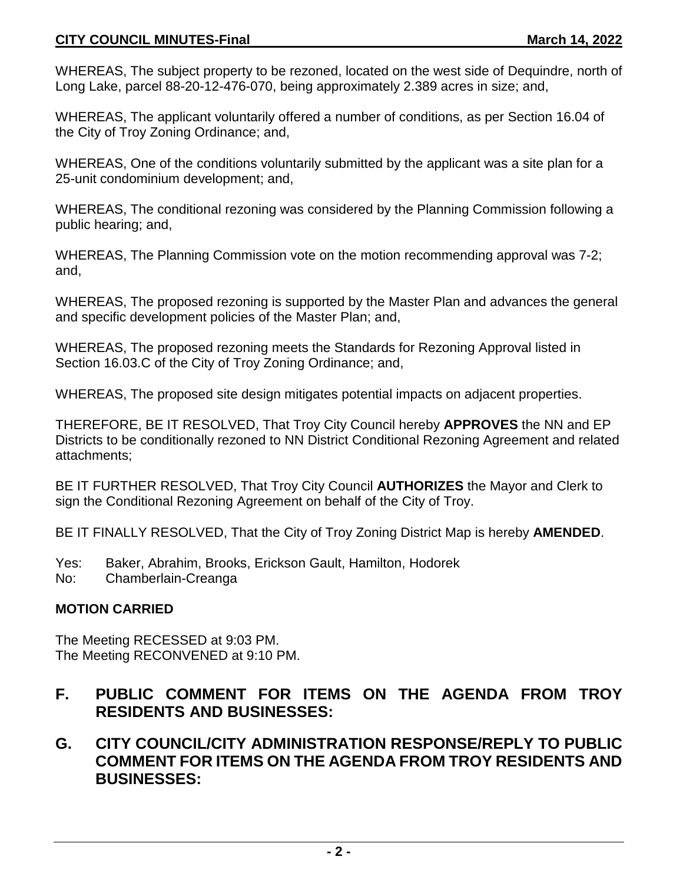### **CITY COUNCIL MINUTES-Final March 14, 2022**

WHEREAS, The subject property to be rezoned, located on the west side of Dequindre, north of Long Lake, parcel 88-20-12-476-070, being approximately 2.389 acres in size; and,

WHEREAS, The applicant voluntarily offered a number of conditions, as per Section 16.04 of the City of Troy Zoning Ordinance; and,

WHEREAS, One of the conditions voluntarily submitted by the applicant was a site plan for a 25-unit condominium development; and,

WHEREAS, The conditional rezoning was considered by the Planning Commission following a public hearing; and,

WHEREAS, The Planning Commission vote on the motion recommending approval was 7-2; and,

WHEREAS, The proposed rezoning is supported by the Master Plan and advances the general and specific development policies of the Master Plan; and,

WHEREAS, The proposed rezoning meets the Standards for Rezoning Approval listed in Section 16.03.C of the City of Troy Zoning Ordinance; and,

WHEREAS, The proposed site design mitigates potential impacts on adjacent properties.

THEREFORE, BE IT RESOLVED, That Troy City Council hereby **APPROVES** the NN and EP Districts to be conditionally rezoned to NN District Conditional Rezoning Agreement and related attachments;

BE IT FURTHER RESOLVED, That Troy City Council **AUTHORIZES** the Mayor and Clerk to sign the Conditional Rezoning Agreement on behalf of the City of Troy.

BE IT FINALLY RESOLVED, That the City of Troy Zoning District Map is hereby **AMENDED**.

- Yes: Baker, Abrahim, Brooks, Erickson Gault, Hamilton, Hodorek
- No: Chamberlain-Creanga

## **MOTION CARRIED**

The Meeting RECESSED at 9:03 PM. The Meeting RECONVENED at 9:10 PM.

# **F. PUBLIC COMMENT FOR ITEMS ON THE AGENDA FROM TROY RESIDENTS AND BUSINESSES:**

## **G. CITY COUNCIL/CITY ADMINISTRATION RESPONSE/REPLY TO PUBLIC COMMENT FOR ITEMS ON THE AGENDA FROM TROY RESIDENTS AND BUSINESSES:**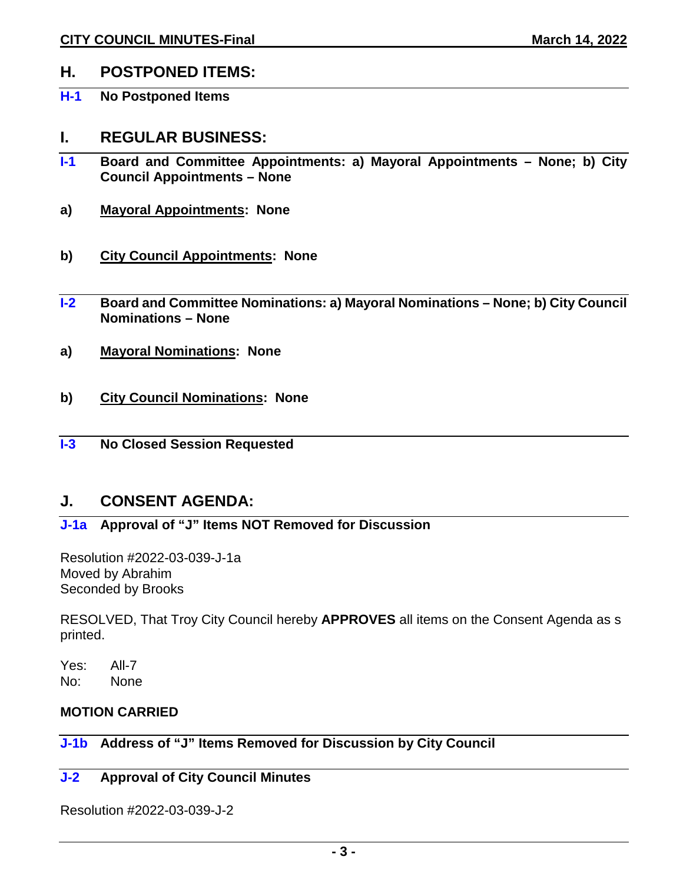## **H. POSTPONED ITEMS:**

**H-1 No Postponed Items** 

### **I. REGULAR BUSINESS:**

- **I-1 Board and Committee Appointments: a) Mayoral Appointments – None; b) City Council Appointments – None**
- **a) Mayoral Appointments: None**
- **b) City Council Appointments: None**
- **I-2 Board and Committee Nominations: a) Mayoral Nominations – None; b) City Council Nominations – None**
- **a) Mayoral Nominations: None**
- **b) City Council Nominations: None**
- **I-3 No Closed Session Requested**

## **J. CONSENT AGENDA:**

## **J-1a Approval of "J" Items NOT Removed for Discussion**

Resolution #2022-03-039-J-1a Moved by Abrahim Seconded by Brooks

RESOLVED, That Troy City Council hereby **APPROVES** all items on the Consent Agenda as s printed.

Yes: All-7 No: None

## **MOTION CARRIED**

### **J-1b Address of "J" Items Removed for Discussion by City Council**

### **J-2 Approval of City Council Minutes**

Resolution #2022-03-039-J-2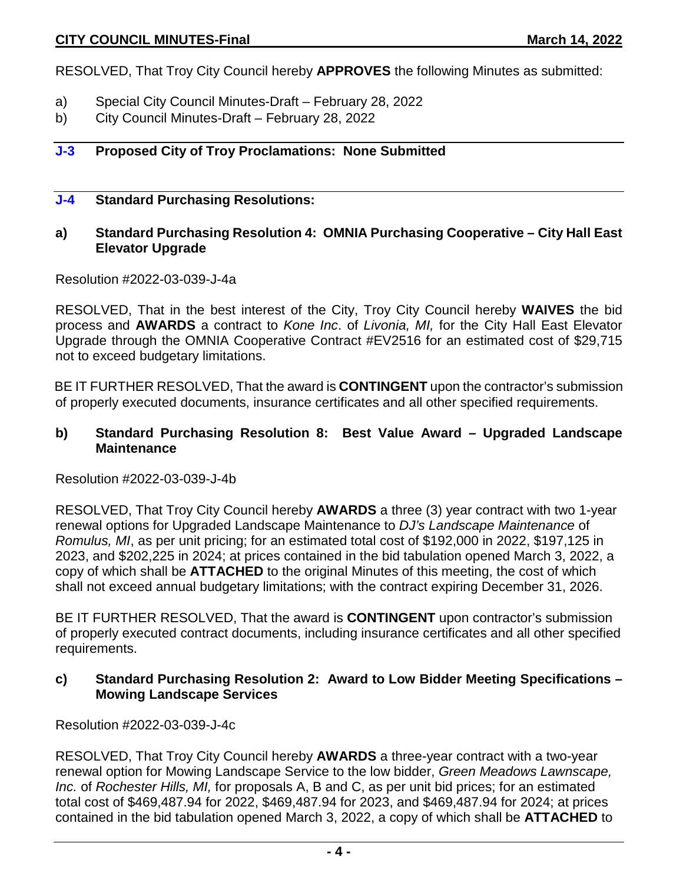RESOLVED, That Troy City Council hereby **APPROVES** the following Minutes as submitted:

- a) Special City Council Minutes-Draft February 28, 2022
- b) City Council Minutes-Draft February 28, 2022

#### **J-3 Proposed City of Troy Proclamations: None Submitted**

#### **J-4 Standard Purchasing Resolutions:**

### **a) Standard Purchasing Resolution 4: OMNIA Purchasing Cooperative – City Hall East Elevator Upgrade**

#### Resolution #2022-03-039-J-4a

RESOLVED, That in the best interest of the City, Troy City Council hereby **WAIVES** the bid process and **AWARDS** a contract to *Kone Inc*. of *Livonia, MI,* for the City Hall East Elevator Upgrade through the OMNIA Cooperative Contract #EV2516 for an estimated cost of \$29,715 not to exceed budgetary limitations.

BE IT FURTHER RESOLVED, That the award is **CONTINGENT** upon the contractor's submission of properly executed documents, insurance certificates and all other specified requirements.

#### **b) Standard Purchasing Resolution 8: Best Value Award – Upgraded Landscape Maintenance**

#### Resolution #2022-03-039-J-4b

RESOLVED, That Troy City Council hereby **AWARDS** a three (3) year contract with two 1-year renewal options for Upgraded Landscape Maintenance to *DJ's Landscape Maintenance* of *Romulus, MI*, as per unit pricing; for an estimated total cost of \$192,000 in 2022, \$197,125 in 2023, and \$202,225 in 2024; at prices contained in the bid tabulation opened March 3, 2022, a copy of which shall be **ATTACHED** to the original Minutes of this meeting, the cost of which shall not exceed annual budgetary limitations; with the contract expiring December 31, 2026.

BE IT FURTHER RESOLVED, That the award is **CONTINGENT** upon contractor's submission of properly executed contract documents, including insurance certificates and all other specified requirements.

#### **c) Standard Purchasing Resolution 2: Award to Low Bidder Meeting Specifications – Mowing Landscape Services**

Resolution #2022-03-039-J-4c

RESOLVED, That Troy City Council hereby **AWARDS** a three-year contract with a two-year renewal option for Mowing Landscape Service to the low bidder, *Green Meadows Lawnscape, Inc.* of *Rochester Hills, MI,* for proposals A, B and C, as per unit bid prices; for an estimated total cost of \$469,487.94 for 2022, \$469,487.94 for 2023, and \$469,487.94 for 2024; at prices contained in the bid tabulation opened March 3, 2022, a copy of which shall be **ATTACHED** to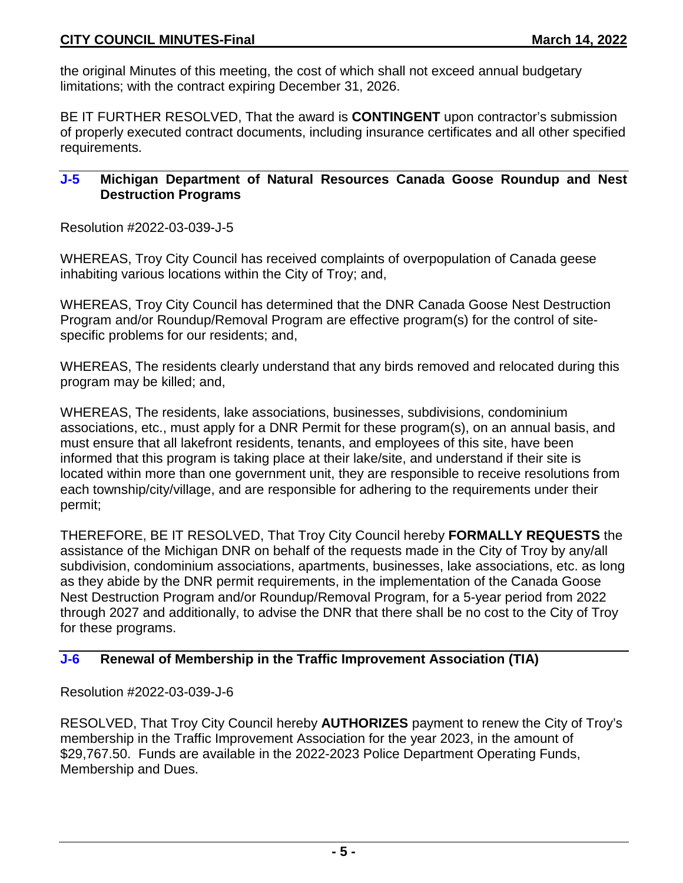### **CITY COUNCIL MINUTES-Final March 14, 2022**

the original Minutes of this meeting, the cost of which shall not exceed annual budgetary limitations; with the contract expiring December 31, 2026.

BE IT FURTHER RESOLVED, That the award is **CONTINGENT** upon contractor's submission of properly executed contract documents, including insurance certificates and all other specified requirements.

#### **J-5 Michigan Department of Natural Resources Canada Goose Roundup and Nest Destruction Programs**

Resolution #2022-03-039-J-5

WHEREAS, Troy City Council has received complaints of overpopulation of Canada geese inhabiting various locations within the City of Troy; and,

WHEREAS, Troy City Council has determined that the DNR Canada Goose Nest Destruction Program and/or Roundup/Removal Program are effective program(s) for the control of sitespecific problems for our residents; and,

WHEREAS, The residents clearly understand that any birds removed and relocated during this program may be killed; and,

WHEREAS, The residents, lake associations, businesses, subdivisions, condominium associations, etc., must apply for a DNR Permit for these program(s), on an annual basis, and must ensure that all lakefront residents, tenants, and employees of this site, have been informed that this program is taking place at their lake/site, and understand if their site is located within more than one government unit, they are responsible to receive resolutions from each township/city/village, and are responsible for adhering to the requirements under their permit;

THEREFORE, BE IT RESOLVED, That Troy City Council hereby **FORMALLY REQUESTS** the assistance of the Michigan DNR on behalf of the requests made in the City of Troy by any/all subdivision, condominium associations, apartments, businesses, lake associations, etc. as long as they abide by the DNR permit requirements, in the implementation of the Canada Goose Nest Destruction Program and/or Roundup/Removal Program, for a 5-year period from 2022 through 2027 and additionally, to advise the DNR that there shall be no cost to the City of Troy for these programs.

#### **J-6 Renewal of Membership in the Traffic Improvement Association (TIA)**

Resolution #2022-03-039-J-6

RESOLVED, That Troy City Council hereby **AUTHORIZES** payment to renew the City of Troy's membership in the Traffic Improvement Association for the year 2023, in the amount of \$29,767.50. Funds are available in the 2022-2023 Police Department Operating Funds, Membership and Dues.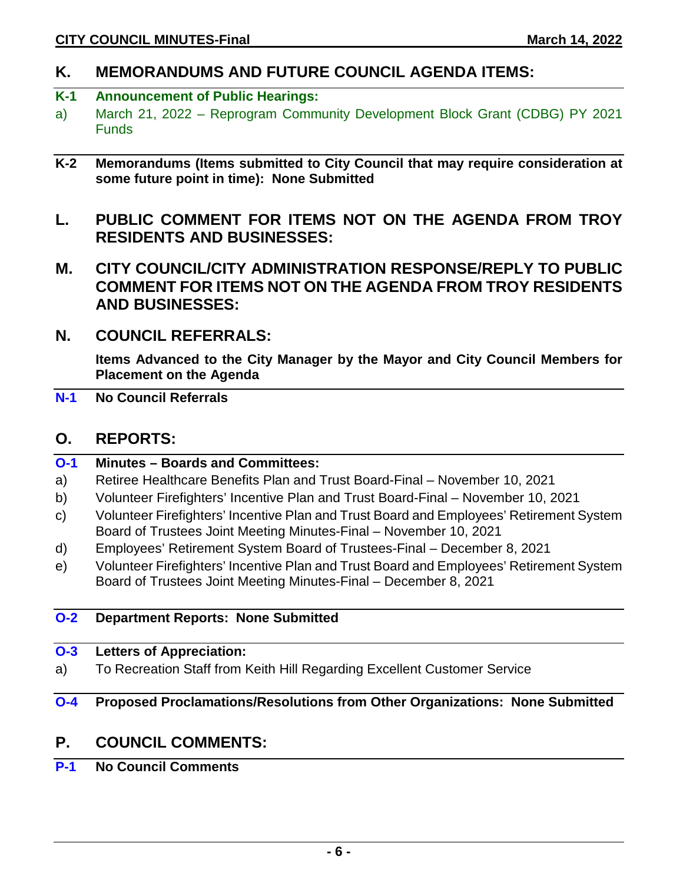# **K. MEMORANDUMS AND FUTURE COUNCIL AGENDA ITEMS:**

### **K-1 Announcement of Public Hearings:**

- a) March 21, 2022 Reprogram Community Development Block Grant (CDBG) PY 2021 **Funds**
- **K-2 Memorandums (Items submitted to City Council that may require consideration at some future point in time): None Submitted**
- **L. PUBLIC COMMENT FOR ITEMS NOT ON THE AGENDA FROM TROY RESIDENTS AND BUSINESSES:**
- **M. CITY COUNCIL/CITY ADMINISTRATION RESPONSE/REPLY TO PUBLIC COMMENT FOR ITEMS NOT ON THE AGENDA FROM TROY RESIDENTS AND BUSINESSES:**
- **N. COUNCIL REFERRALS:**

**Items Advanced to the City Manager by the Mayor and City Council Members for Placement on the Agenda**

**N-1 No Council Referrals**

## **O. REPORTS:**

| $O-1$ | <b>Minutes - Boards and Committees:</b>                                              |
|-------|--------------------------------------------------------------------------------------|
| a)    | Retiree Healthcare Benefits Plan and Trust Board-Final – November 10, 2021           |
| b)    | Volunteer Firefighters' Incentive Plan and Trust Board-Final – November 10, 2021     |
| C)    | Volunteer Firefighters' Incentive Plan and Trust Board and Employees' Retirement Sys |

- c) Volunteer Firefighters' Incentive Plan and Trust Board and Employees' Retirement System Board of Trustees Joint Meeting Minutes-Final – November 10, 2021
- d) Employees' Retirement System Board of Trustees-Final December 8, 2021
- e) Volunteer Firefighters' Incentive Plan and Trust Board and Employees' Retirement System Board of Trustees Joint Meeting Minutes-Final – December 8, 2021

#### **O-2 Department Reports: None Submitted**

#### **O-3 Letters of Appreciation:**

a) To Recreation Staff from Keith Hill Regarding Excellent Customer Service

## **O-4 Proposed Proclamations/Resolutions from Other Organizations: None Submitted**

# **P. COUNCIL COMMENTS:**

**P-1 No Council Comments**